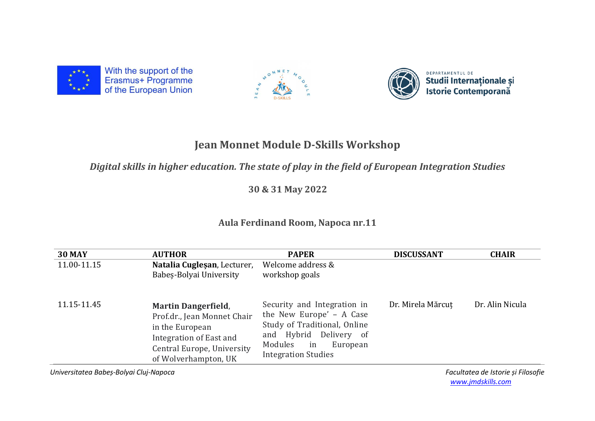

With the support of the Erasmus+ Programme<br>of the European Union





## **Jean Monnet Module D-Skills Workshop**

## *Digital skills in higher education. The state of play in the field of European Integration Studies*

 **30 & 31 May 2022**

## **Aula Ferdinand Room, Napoca nr.11**

| <b>30 MAY</b> | <b>AUTHOR</b>                                                                                                                                                 | <b>PAPER</b>                                                                                                                                                                 | <b>DISCUSSANT</b> | <b>CHAIR</b>    |
|---------------|---------------------------------------------------------------------------------------------------------------------------------------------------------------|------------------------------------------------------------------------------------------------------------------------------------------------------------------------------|-------------------|-----------------|
| 11.00-11.15   | Natalia Cuglesan, Lecturer,<br>Babes-Bolyai University                                                                                                        | Welcome address &<br>workshop goals                                                                                                                                          |                   |                 |
| 11.15-11.45   | <b>Martin Dangerfield,</b><br>Prof.dr., Jean Monnet Chair<br>in the European<br>Integration of East and<br>Central Europe, University<br>of Wolverhampton, UK | Security and Integration in<br>the New Europe' - A Case<br>Study of Traditional, Online<br>and Hybrid Delivery of<br>Modules<br>in<br>European<br><b>Integration Studies</b> | Dr. Mirela Mărcut | Dr. Alin Nicula |

*Universitatea Babeș-Bolyai Cluj-Napoca Facultatea de Istorie și Filosofie* 

 *[www.jmdskills.com](http://www.jmdskills.com/)*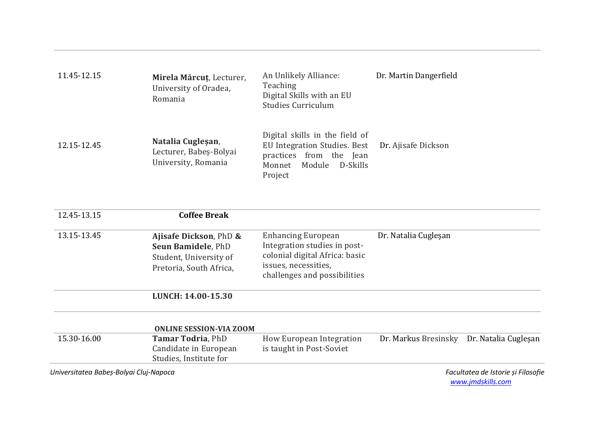| 11.45-12.15 | Mirela Mărcuț, Lecturer,<br>University of Oradea,<br>Romania       | An Unlikely Alliance:<br>Teaching<br>Digital Skills with an EU<br>Studies Curriculum                                                    | Dr. Martin Dangerfield |
|-------------|--------------------------------------------------------------------|-----------------------------------------------------------------------------------------------------------------------------------------|------------------------|
| 12.15-12.45 | Natalia Cuglesan,<br>Lecturer, Babeș-Bolyai<br>University, Romania | Digital skills in the field of<br>EU Integration Studies. Best<br>practices from the<br>Jean<br>Module<br>D-Skills<br>Monnet<br>Project | Dr. Ajisafe Dickson    |

| 12.45-13.15                            | <b>Coffee Break</b>                                                                               |                                                                                                                                                     |                      |                                    |
|----------------------------------------|---------------------------------------------------------------------------------------------------|-----------------------------------------------------------------------------------------------------------------------------------------------------|----------------------|------------------------------------|
| 13.15-13.45                            | Ajisafe Dickson, PhD &<br>Seun Bamidele, PhD<br>Student, University of<br>Pretoria, South Africa, | <b>Enhancing European</b><br>Integration studies in post-<br>colonial digital Africa: basic<br>issues, necessities,<br>challenges and possibilities | Dr. Natalia Cugleşan |                                    |
|                                        | LUNCH: 14.00-15.30                                                                                |                                                                                                                                                     |                      |                                    |
|                                        | <b>ONLINE SESSION-VIA ZOOM</b>                                                                    |                                                                                                                                                     |                      |                                    |
| 15.30-16.00                            | <b>Tamar Todria, PhD</b><br>Candidate in European<br>Studies, Institute for                       | How European Integration<br>is taught in Post-Soviet                                                                                                | Dr. Markus Bresinsky | Dr. Natalia Cugleşan               |
| Universitatea Babeș-Bolyai Cluj-Napoca |                                                                                                   |                                                                                                                                                     |                      | Facultatea de Istorie și Filosofie |

 *[www.jmdskills.com](http://www.jmdskills.com/)*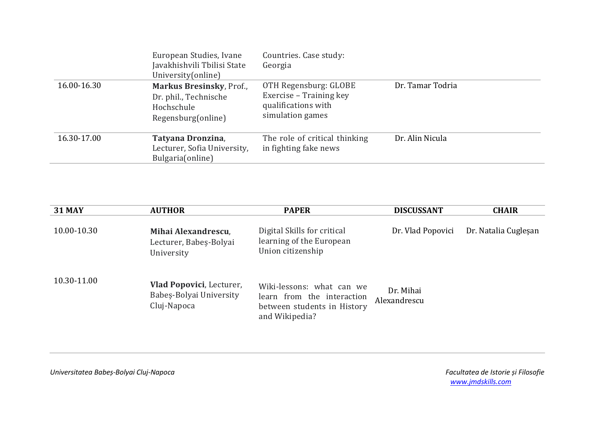|             | European Studies, Ivane<br>Javakhishvili Tbilisi State<br>University (online)         | Countries. Case study:<br>Georgia                                                           |                  |
|-------------|---------------------------------------------------------------------------------------|---------------------------------------------------------------------------------------------|------------------|
| 16.00-16.30 | Markus Bresinsky, Prof.,<br>Dr. phil., Technische<br>Hochschule<br>Regensburg(online) | OTH Regensburg: GLOBE<br>Exercise - Training key<br>qualifications with<br>simulation games | Dr. Tamar Todria |
| 16.30-17.00 | Tatyana Dronzina,<br>Lecturer, Sofia University,<br>Bulgaria(online)                  | The role of critical thinking<br>in fighting fake news                                      | Dr. Alin Nicula  |

| <b>31 MAY</b> | <b>AUTHOR</b>                                                             | <b>PAPER</b>                                                                                             | <b>DISCUSSANT</b>         | <b>CHAIR</b>         |
|---------------|---------------------------------------------------------------------------|----------------------------------------------------------------------------------------------------------|---------------------------|----------------------|
| 10.00-10.30   | Mihai Alexandrescu,<br>Lecturer, Babeș-Bolyai<br>University               | Digital Skills for critical<br>learning of the European<br>Union citizenship                             | Dr. Vlad Popovici         | Dr. Natalia Cugleşan |
| 10.30-11.00   | <b>Vlad Popovici, Lecturer,</b><br>Babes-Bolyai University<br>Cluj-Napoca | Wiki-lessons: what can we<br>learn from the interaction<br>between students in History<br>and Wikipedia? | Dr. Mihai<br>Alexandrescu |                      |

*Universitatea Babeș-Bolyai Cluj-Napoca Facultatea de Istorie și Filosofie*